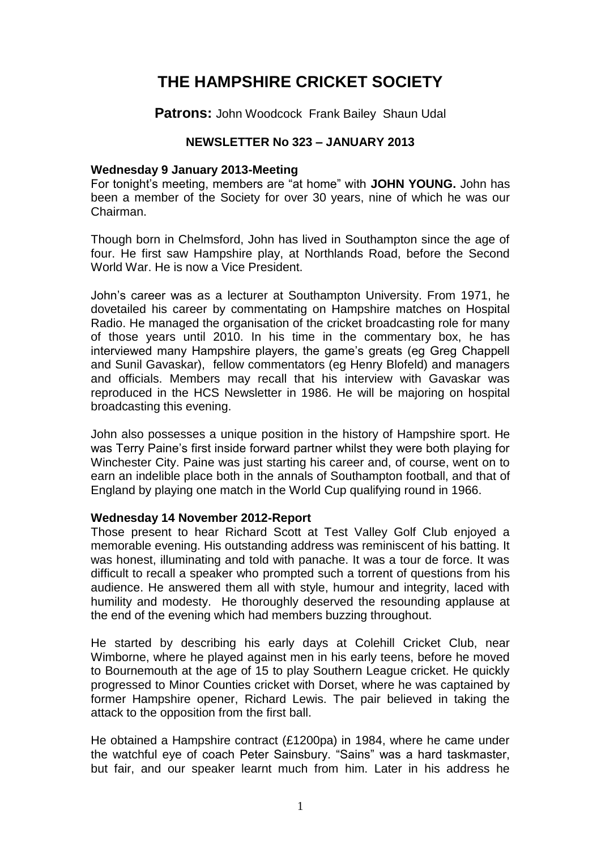# **THE HAMPSHIRE CRICKET SOCIETY**

**Patrons:** John Woodcock Frank Bailey Shaun Udal

# **NEWSLETTER No 323 – JANUARY 2013**

#### **Wednesday 9 January 2013-Meeting**

For tonight's meeting, members are "at home" with **JOHN YOUNG.** John has been a member of the Society for over 30 years, nine of which he was our Chairman.

Though born in Chelmsford, John has lived in Southampton since the age of four. He first saw Hampshire play, at Northlands Road, before the Second World War. He is now a Vice President.

John's career was as a lecturer at Southampton University. From 1971, he dovetailed his career by commentating on Hampshire matches on Hospital Radio. He managed the organisation of the cricket broadcasting role for many of those years until 2010. In his time in the commentary box, he has interviewed many Hampshire players, the game's greats (eg Greg Chappell and Sunil Gavaskar), fellow commentators (eg Henry Blofeld) and managers and officials. Members may recall that his interview with Gavaskar was reproduced in the HCS Newsletter in 1986. He will be majoring on hospital broadcasting this evening.

John also possesses a unique position in the history of Hampshire sport. He was Terry Paine's first inside forward partner whilst they were both playing for Winchester City. Paine was just starting his career and, of course, went on to earn an indelible place both in the annals of Southampton football, and that of England by playing one match in the World Cup qualifying round in 1966.

#### **Wednesday 14 November 2012-Report**

Those present to hear Richard Scott at Test Valley Golf Club enjoyed a memorable evening. His outstanding address was reminiscent of his batting. It was honest, illuminating and told with panache. It was a tour de force. It was difficult to recall a speaker who prompted such a torrent of questions from his audience. He answered them all with style, humour and integrity, laced with humility and modesty. He thoroughly deserved the resounding applause at the end of the evening which had members buzzing throughout.

He started by describing his early days at Colehill Cricket Club, near Wimborne, where he played against men in his early teens, before he moved to Bournemouth at the age of 15 to play Southern League cricket. He quickly progressed to Minor Counties cricket with Dorset, where he was captained by former Hampshire opener, Richard Lewis. The pair believed in taking the attack to the opposition from the first ball.

He obtained a Hampshire contract (£1200pa) in 1984, where he came under the watchful eye of coach Peter Sainsbury. "Sains" was a hard taskmaster, but fair, and our speaker learnt much from him. Later in his address he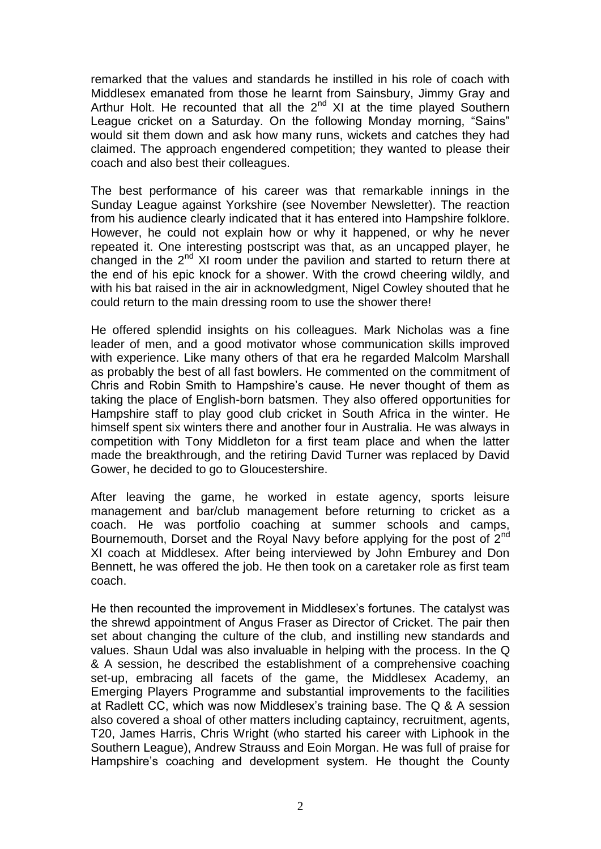remarked that the values and standards he instilled in his role of coach with Middlesex emanated from those he learnt from Sainsbury, Jimmy Gray and Arthur Holt. He recounted that all the  $2<sup>nd</sup>$  XI at the time played Southern League cricket on a Saturday. On the following Monday morning, "Sains" would sit them down and ask how many runs, wickets and catches they had claimed. The approach engendered competition; they wanted to please their coach and also best their colleagues.

The best performance of his career was that remarkable innings in the Sunday League against Yorkshire (see November Newsletter). The reaction from his audience clearly indicated that it has entered into Hampshire folklore. However, he could not explain how or why it happened, or why he never repeated it. One interesting postscript was that, as an uncapped player, he changed in the 2<sup>nd</sup> XI room under the pavilion and started to return there at the end of his epic knock for a shower. With the crowd cheering wildly, and with his bat raised in the air in acknowledgment, Nigel Cowley shouted that he could return to the main dressing room to use the shower there!

He offered splendid insights on his colleagues. Mark Nicholas was a fine leader of men, and a good motivator whose communication skills improved with experience. Like many others of that era he regarded Malcolm Marshall as probably the best of all fast bowlers. He commented on the commitment of Chris and Robin Smith to Hampshire's cause. He never thought of them as taking the place of English-born batsmen. They also offered opportunities for Hampshire staff to play good club cricket in South Africa in the winter. He himself spent six winters there and another four in Australia. He was always in competition with Tony Middleton for a first team place and when the latter made the breakthrough, and the retiring David Turner was replaced by David Gower, he decided to go to Gloucestershire.

After leaving the game, he worked in estate agency, sports leisure management and bar/club management before returning to cricket as a coach. He was portfolio coaching at summer schools and camps, Bournemouth, Dorset and the Royal Navy before applying for the post of  $2<sup>nd</sup>$ XI coach at Middlesex. After being interviewed by John Emburey and Don Bennett, he was offered the job. He then took on a caretaker role as first team coach.

He then recounted the improvement in Middlesex's fortunes. The catalyst was the shrewd appointment of Angus Fraser as Director of Cricket. The pair then set about changing the culture of the club, and instilling new standards and values. Shaun Udal was also invaluable in helping with the process. In the Q & A session, he described the establishment of a comprehensive coaching set-up, embracing all facets of the game, the Middlesex Academy, an Emerging Players Programme and substantial improvements to the facilities at Radlett CC, which was now Middlesex's training base. The Q & A session also covered a shoal of other matters including captaincy, recruitment, agents, T20, James Harris, Chris Wright (who started his career with Liphook in the Southern League), Andrew Strauss and Eoin Morgan. He was full of praise for Hampshire's coaching and development system. He thought the County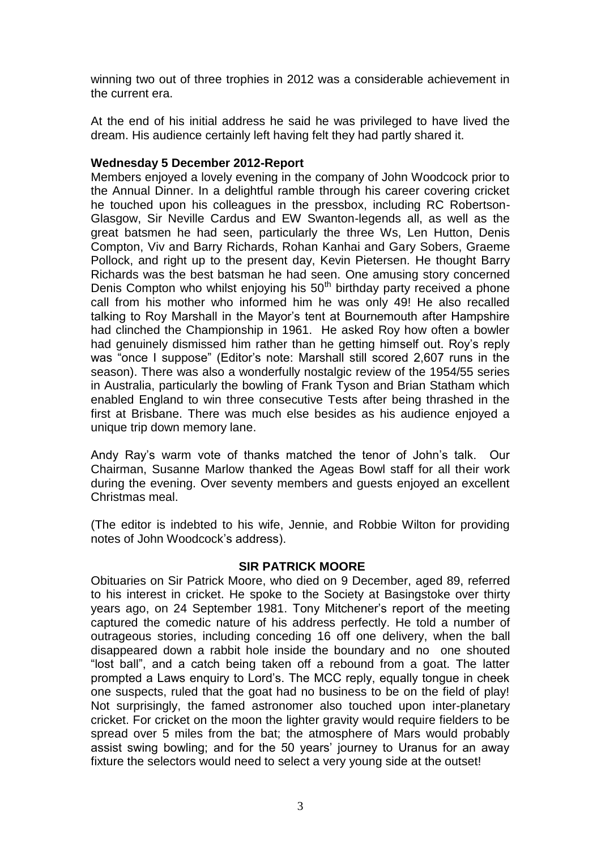winning two out of three trophies in 2012 was a considerable achievement in the current era.

At the end of his initial address he said he was privileged to have lived the dream. His audience certainly left having felt they had partly shared it.

## **Wednesday 5 December 2012-Report**

Members enjoyed a lovely evening in the company of John Woodcock prior to the Annual Dinner. In a delightful ramble through his career covering cricket he touched upon his colleagues in the pressbox, including RC Robertson-Glasgow, Sir Neville Cardus and EW Swanton-legends all, as well as the great batsmen he had seen, particularly the three Ws, Len Hutton, Denis Compton, Viv and Barry Richards, Rohan Kanhai and Gary Sobers, Graeme Pollock, and right up to the present day, Kevin Pietersen. He thought Barry Richards was the best batsman he had seen. One amusing story concerned Denis Compton who whilst enjoying his  $50<sup>th</sup>$  birthday party received a phone call from his mother who informed him he was only 49! He also recalled talking to Roy Marshall in the Mayor's tent at Bournemouth after Hampshire had clinched the Championship in 1961. He asked Roy how often a bowler had genuinely dismissed him rather than he getting himself out. Roy's reply was "once I suppose" (Editor's note: Marshall still scored 2,607 runs in the season). There was also a wonderfully nostalgic review of the 1954/55 series in Australia, particularly the bowling of Frank Tyson and Brian Statham which enabled England to win three consecutive Tests after being thrashed in the first at Brisbane. There was much else besides as his audience enjoyed a unique trip down memory lane.

Andy Ray's warm vote of thanks matched the tenor of John's talk. Our Chairman, Susanne Marlow thanked the Ageas Bowl staff for all their work during the evening. Over seventy members and guests enjoyed an excellent Christmas meal.

(The editor is indebted to his wife, Jennie, and Robbie Wilton for providing notes of John Woodcock's address).

#### **SIR PATRICK MOORE**

Obituaries on Sir Patrick Moore, who died on 9 December, aged 89, referred to his interest in cricket. He spoke to the Society at Basingstoke over thirty years ago, on 24 September 1981. Tony Mitchener's report of the meeting captured the comedic nature of his address perfectly. He told a number of outrageous stories, including conceding 16 off one delivery, when the ball disappeared down a rabbit hole inside the boundary and no one shouted "lost ball", and a catch being taken off a rebound from a goat. The latter prompted a Laws enquiry to Lord's. The MCC reply, equally tongue in cheek one suspects, ruled that the goat had no business to be on the field of play! Not surprisingly, the famed astronomer also touched upon inter-planetary cricket. For cricket on the moon the lighter gravity would require fielders to be spread over 5 miles from the bat; the atmosphere of Mars would probably assist swing bowling; and for the 50 years' journey to Uranus for an away fixture the selectors would need to select a very young side at the outset!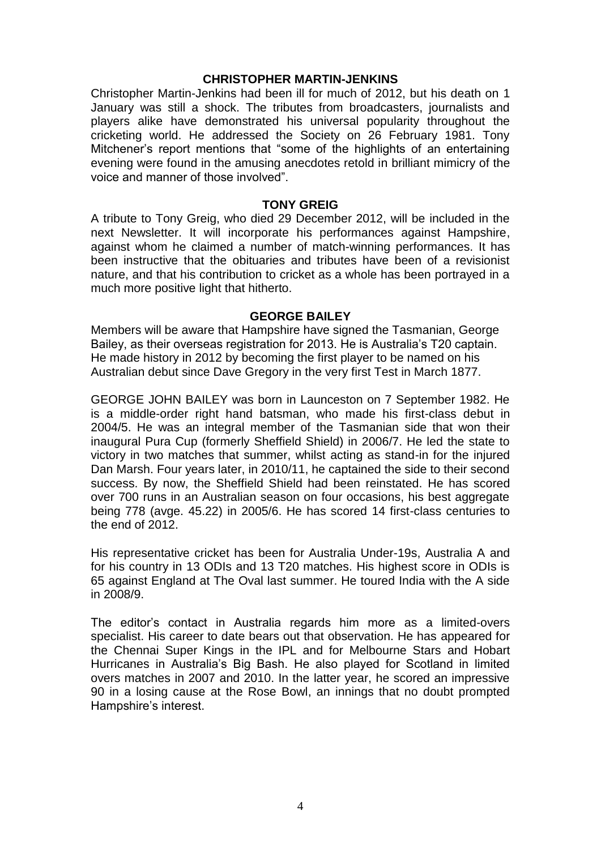## **CHRISTOPHER MARTIN-JENKINS**

Christopher Martin-Jenkins had been ill for much of 2012, but his death on 1 January was still a shock. The tributes from broadcasters, journalists and players alike have demonstrated his universal popularity throughout the cricketing world. He addressed the Society on 26 February 1981. Tony Mitchener's report mentions that "some of the highlights of an entertaining evening were found in the amusing anecdotes retold in brilliant mimicry of the voice and manner of those involved".

#### **TONY GREIG**

A tribute to Tony Greig, who died 29 December 2012, will be included in the next Newsletter. It will incorporate his performances against Hampshire, against whom he claimed a number of match-winning performances. It has been instructive that the obituaries and tributes have been of a revisionist nature, and that his contribution to cricket as a whole has been portrayed in a much more positive light that hitherto.

#### **GEORGE BAILEY**

Members will be aware that Hampshire have signed the Tasmanian, George Bailey, as their overseas registration for 2013. He is Australia's T20 captain. He made history in 2012 by becoming the first player to be named on his Australian debut since Dave Gregory in the very first Test in March 1877.

GEORGE JOHN BAILEY was born in Launceston on 7 September 1982. He is a middle-order right hand batsman, who made his first-class debut in 2004/5. He was an integral member of the Tasmanian side that won their inaugural Pura Cup (formerly Sheffield Shield) in 2006/7. He led the state to victory in two matches that summer, whilst acting as stand-in for the injured Dan Marsh. Four years later, in 2010/11, he captained the side to their second success. By now, the Sheffield Shield had been reinstated. He has scored over 700 runs in an Australian season on four occasions, his best aggregate being 778 (avge. 45.22) in 2005/6. He has scored 14 first-class centuries to the end of 2012.

His representative cricket has been for Australia Under-19s, Australia A and for his country in 13 ODIs and 13 T20 matches. His highest score in ODIs is 65 against England at The Oval last summer. He toured India with the A side in 2008/9.

The editor's contact in Australia regards him more as a limited-overs specialist. His career to date bears out that observation. He has appeared for the Chennai Super Kings in the IPL and for Melbourne Stars and Hobart Hurricanes in Australia's Big Bash. He also played for Scotland in limited overs matches in 2007 and 2010. In the latter year, he scored an impressive 90 in a losing cause at the Rose Bowl, an innings that no doubt prompted Hampshire's interest.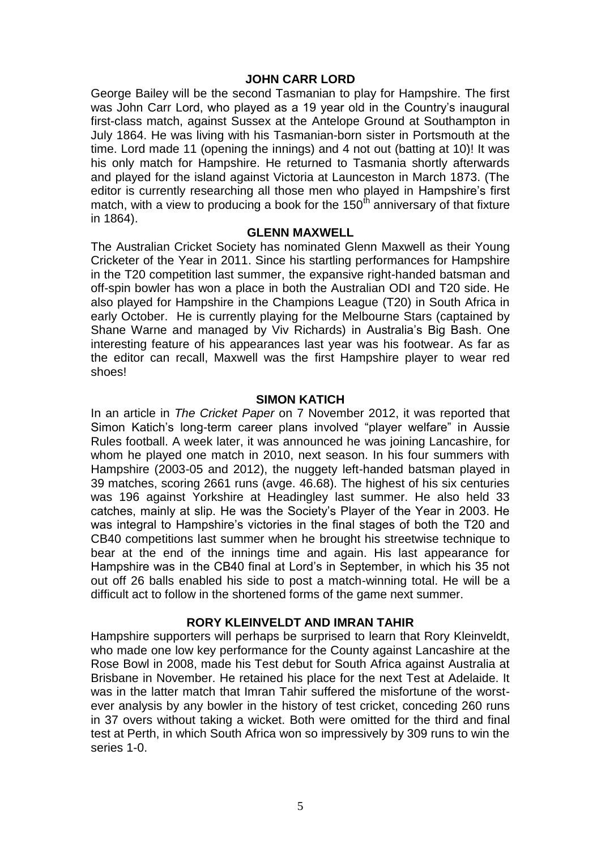#### **JOHN CARR LORD**

George Bailey will be the second Tasmanian to play for Hampshire. The first was John Carr Lord, who played as a 19 year old in the Country's inaugural first-class match, against Sussex at the Antelope Ground at Southampton in July 1864. He was living with his Tasmanian-born sister in Portsmouth at the time. Lord made 11 (opening the innings) and 4 not out (batting at 10)! It was his only match for Hampshire. He returned to Tasmania shortly afterwards and played for the island against Victoria at Launceston in March 1873. (The editor is currently researching all those men who played in Hampshire's first match, with a view to producing a book for the  $150<sup>th</sup>$  anniversary of that fixture in 1864).

#### **GLENN MAXWELL**

The Australian Cricket Society has nominated Glenn Maxwell as their Young Cricketer of the Year in 2011. Since his startling performances for Hampshire in the T20 competition last summer, the expansive right-handed batsman and off-spin bowler has won a place in both the Australian ODI and T20 side. He also played for Hampshire in the Champions League (T20) in South Africa in early October. He is currently playing for the Melbourne Stars (captained by Shane Warne and managed by Viv Richards) in Australia's Big Bash. One interesting feature of his appearances last year was his footwear. As far as the editor can recall, Maxwell was the first Hampshire player to wear red shoes!

#### **SIMON KATICH**

In an article in *The Cricket Paper* on 7 November 2012, it was reported that Simon Katich's long-term career plans involved "player welfare" in Aussie Rules football. A week later, it was announced he was joining Lancashire, for whom he played one match in 2010, next season. In his four summers with Hampshire (2003-05 and 2012), the nuggety left-handed batsman played in 39 matches, scoring 2661 runs (avge. 46.68). The highest of his six centuries was 196 against Yorkshire at Headingley last summer. He also held 33 catches, mainly at slip. He was the Society's Player of the Year in 2003. He was integral to Hampshire's victories in the final stages of both the T20 and CB40 competitions last summer when he brought his streetwise technique to bear at the end of the innings time and again. His last appearance for Hampshire was in the CB40 final at Lord's in September, in which his 35 not out off 26 balls enabled his side to post a match-winning total. He will be a difficult act to follow in the shortened forms of the game next summer.

#### **RORY KLEINVELDT AND IMRAN TAHIR**

Hampshire supporters will perhaps be surprised to learn that Rory Kleinveldt, who made one low key performance for the County against Lancashire at the Rose Bowl in 2008, made his Test debut for South Africa against Australia at Brisbane in November. He retained his place for the next Test at Adelaide. It was in the latter match that Imran Tahir suffered the misfortune of the worstever analysis by any bowler in the history of test cricket, conceding 260 runs in 37 overs without taking a wicket. Both were omitted for the third and final test at Perth, in which South Africa won so impressively by 309 runs to win the series 1-0.